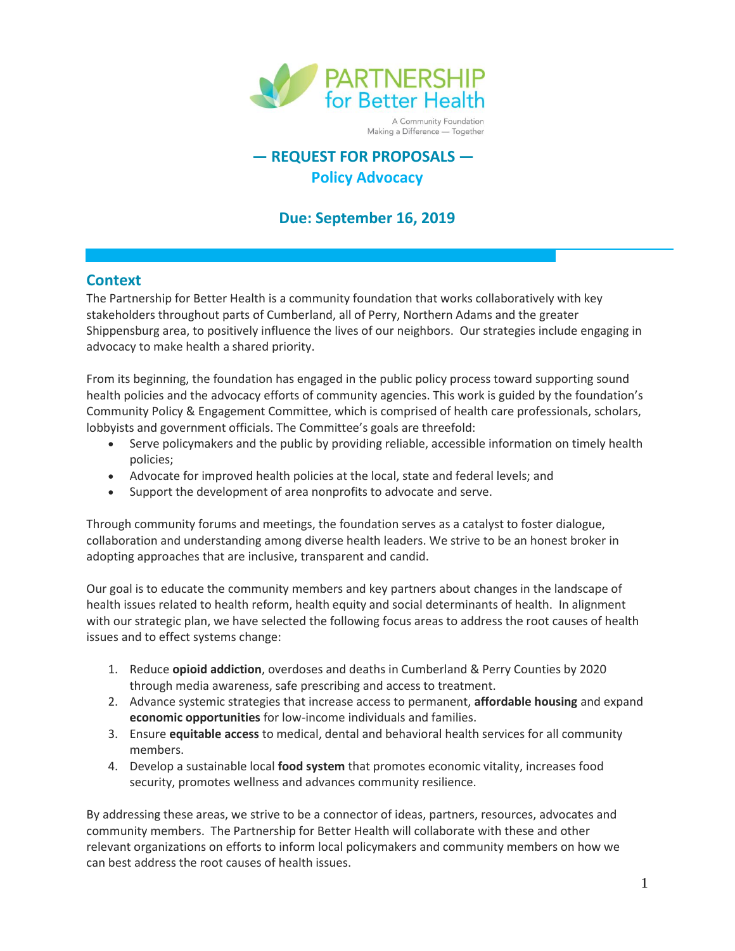

# **— REQUEST FOR PROPOSALS — Policy Advocacy**

# **Due: September 16, 2019**

### **Context**

The Partnership for Better Health is a community foundation that works collaboratively with key stakeholders throughout parts of Cumberland, all of Perry, Northern Adams and the greater Shippensburg area, to positively influence the lives of our neighbors. Our strategies include engaging in advocacy to make health a shared priority.

From its beginning, the foundation has engaged in the public policy process toward supporting sound health policies and the advocacy efforts of community agencies. This work is guided by the foundation's Community Policy & Engagement Committee, which is comprised of health care professionals, scholars, lobbyists and government officials. The Committee's goals are threefold:

- Serve policymakers and the public by providing reliable, accessible information on timely health policies;
- Advocate for improved health policies at the local, state and federal levels; and
- Support the development of area nonprofits to advocate and serve.

Through community forums and meetings, the foundation serves as a catalyst to foster dialogue, collaboration and understanding among diverse health leaders. We strive to be an honest broker in adopting approaches that are inclusive, transparent and candid.

Our goal is to educate the community members and key partners about changes in the landscape of health issues related to health reform, health equity and social determinants of health. In alignment with our strategic plan, we have selected the following focus areas to address the root causes of health issues and to effect systems change:

- 1. Reduce **opioid addiction**, overdoses and deaths in Cumberland & Perry Counties by 2020 through media awareness, safe prescribing and access to treatment.
- 2. Advance systemic strategies that increase access to permanent, **affordable housing** and expand **economic opportunities** for low-income individuals and families.
- 3. Ensure **equitable access** to medical, dental and behavioral health services for all community members.
- 4. Develop a sustainable local **food system** that promotes economic vitality, increases food security, promotes wellness and advances community resilience.

By addressing these areas, we strive to be a connector of ideas, partners, resources, advocates and community members. The Partnership for Better Health will collaborate with these and other relevant organizations on efforts to inform local policymakers and community members on how we can best address the root causes of health issues.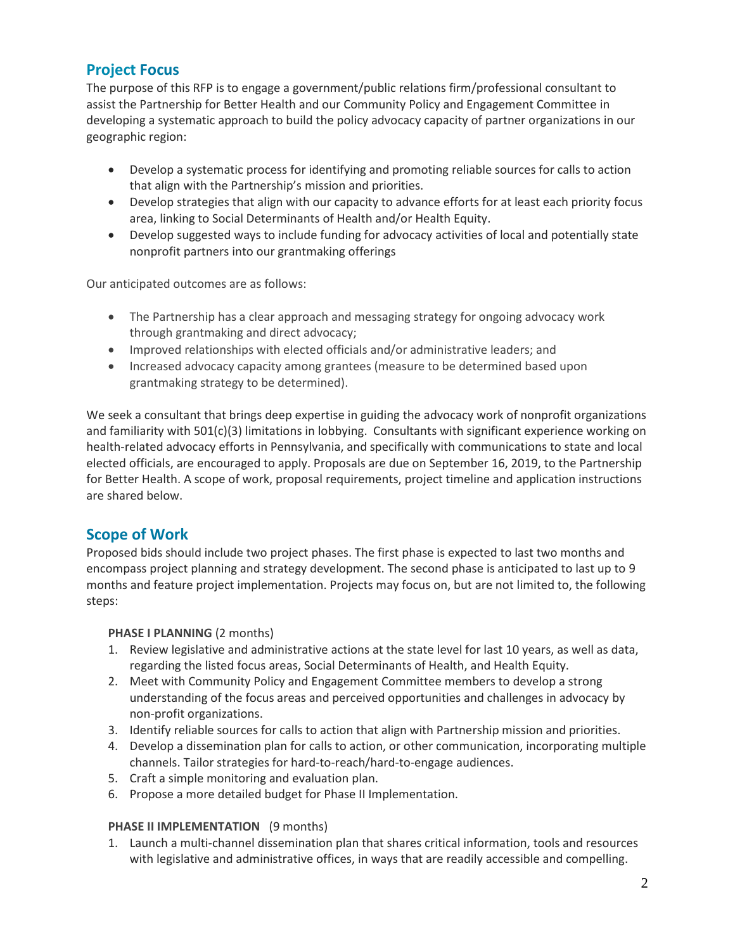## **Project Focus**

The purpose of this RFP is to engage a government/public relations firm/professional consultant to assist the Partnership for Better Health and our Community Policy and Engagement Committee in developing a systematic approach to build the policy advocacy capacity of partner organizations in our geographic region:

- Develop a systematic process for identifying and promoting reliable sources for calls to action that align with the Partnership's mission and priorities.
- Develop strategies that align with our capacity to advance efforts for at least each priority focus area, linking to Social Determinants of Health and/or Health Equity.
- Develop suggested ways to include funding for advocacy activities of local and potentially state nonprofit partners into our grantmaking offerings

Our anticipated outcomes are as follows:

- The Partnership has a clear approach and messaging strategy for ongoing advocacy work through grantmaking and direct advocacy;
- Improved relationships with elected officials and/or administrative leaders; and
- Increased advocacy capacity among grantees (measure to be determined based upon grantmaking strategy to be determined).

We seek a consultant that brings deep expertise in guiding the advocacy work of nonprofit organizations and familiarity with 501(c)(3) limitations in lobbying. Consultants with significant experience working on health-related advocacy efforts in Pennsylvania, and specifically with communications to state and local elected officials, are encouraged to apply. Proposals are due on September 16, 2019, to the Partnership for Better Health. A scope of work, proposal requirements, project timeline and application instructions are shared below.

### **Scope of Work**

Proposed bids should include two project phases. The first phase is expected to last two months and encompass project planning and strategy development. The second phase is anticipated to last up to 9 months and feature project implementation. Projects may focus on, but are not limited to, the following steps:

#### **PHASE I PLANNING** (2 months)

- 1. Review legislative and administrative actions at the state level for last 10 years, as well as data, regarding the listed focus areas, Social Determinants of Health, and Health Equity.
- 2. Meet with Community Policy and Engagement Committee members to develop a strong understanding of the focus areas and perceived opportunities and challenges in advocacy by non-profit organizations.
- 3. Identify reliable sources for calls to action that align with Partnership mission and priorities.
- 4. Develop a dissemination plan for calls to action, or other communication, incorporating multiple channels. Tailor strategies for hard-to-reach/hard-to-engage audiences.
- 5. Craft a simple monitoring and evaluation plan.
- 6. Propose a more detailed budget for Phase II Implementation.

#### **PHASE II IMPLEMENTATION** (9 months)

1. Launch a multi-channel dissemination plan that shares critical information, tools and resources with legislative and administrative offices, in ways that are readily accessible and compelling.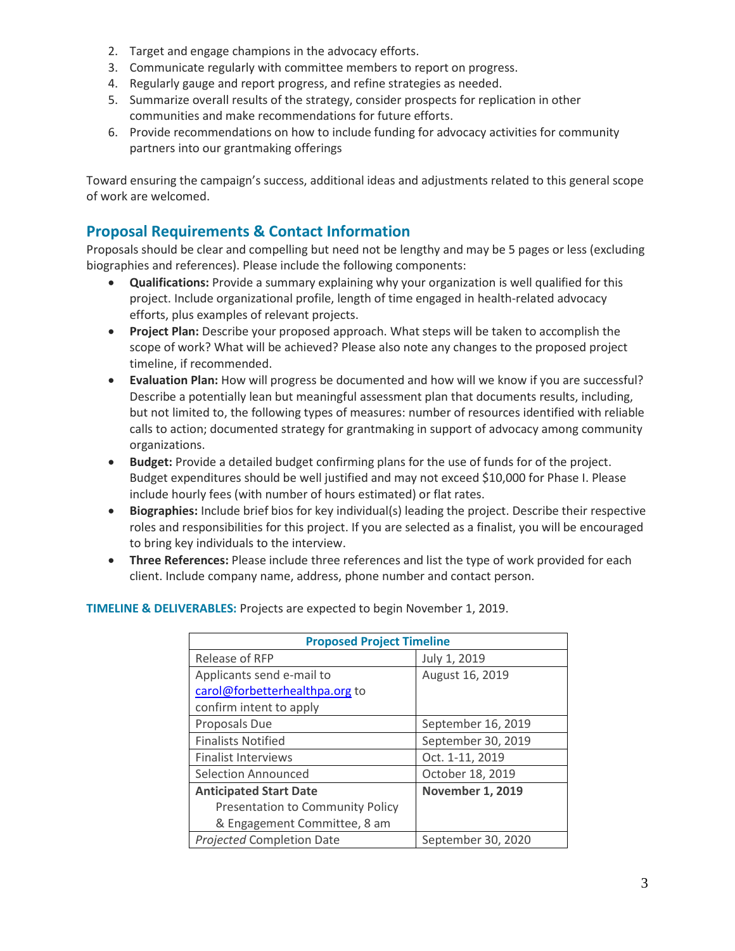- 2. Target and engage champions in the advocacy efforts.
- 3. Communicate regularly with committee members to report on progress.
- 4. Regularly gauge and report progress, and refine strategies as needed.
- 5. Summarize overall results of the strategy, consider prospects for replication in other communities and make recommendations for future efforts.
- 6. Provide recommendations on how to include funding for advocacy activities for community partners into our grantmaking offerings

Toward ensuring the campaign's success, additional ideas and adjustments related to this general scope of work are welcomed.

### **Proposal Requirements & Contact Information**

Proposals should be clear and compelling but need not be lengthy and may be 5 pages or less (excluding biographies and references). Please include the following components:

- **Qualifications:** Provide a summary explaining why your organization is well qualified for this project. Include organizational profile, length of time engaged in health-related advocacy efforts, plus examples of relevant projects.
- **Project Plan:** Describe your proposed approach. What steps will be taken to accomplish the scope of work? What will be achieved? Please also note any changes to the proposed project timeline, if recommended.
- **Evaluation Plan:** How will progress be documented and how will we know if you are successful? Describe a potentially lean but meaningful assessment plan that documents results, including, but not limited to, the following types of measures: number of resources identified with reliable calls to action; documented strategy for grantmaking in support of advocacy among community organizations.
- **Budget:** Provide a detailed budget confirming plans for the use of funds for of the project. Budget expenditures should be well justified and may not exceed \$10,000 for Phase I. Please include hourly fees (with number of hours estimated) or flat rates.
- **Biographies:** Include brief bios for key individual(s) leading the project. Describe their respective roles and responsibilities for this project. If you are selected as a finalist, you will be encouraged to bring key individuals to the interview.
- **Three References:** Please include three references and list the type of work provided for each client. Include company name, address, phone number and contact person.

| <b>Proposed Project Timeline</b>        |                         |
|-----------------------------------------|-------------------------|
| Release of RFP                          | July 1, 2019            |
| Applicants send e-mail to               | August 16, 2019         |
| carol@forbetterhealthpa.org to          |                         |
| confirm intent to apply                 |                         |
| Proposals Due                           | September 16, 2019      |
| <b>Finalists Notified</b>               | September 30, 2019      |
| <b>Finalist Interviews</b>              | Oct. 1-11, 2019         |
| Selection Announced                     | October 18, 2019        |
| <b>Anticipated Start Date</b>           | <b>November 1, 2019</b> |
| <b>Presentation to Community Policy</b> |                         |
| & Engagement Committee, 8 am            |                         |
| <b>Projected Completion Date</b>        | September 30, 2020      |

**TIMELINE & DELIVERABLES:** Projects are expected to begin November 1, 2019.